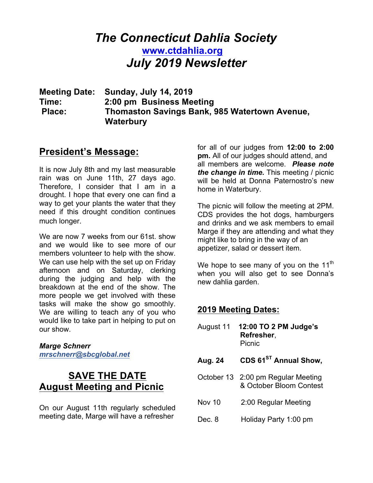# *The Connecticut Dahlia Society* **www.ctdahlia.org** *July 2019 Newsletter*

**Meeting Date: Sunday, July 14, 2019 Time: 2:00 pm Business Meeting Place: Thomaston Savings Bank, 985 Watertown Avenue, Waterbury** 

## **President's Message:**

It is now July 8th and my last measurable rain was on June 11th, 27 days ago. Therefore, I consider that I am in a drought. I hope that every one can find a way to get your plants the water that they need if this drought condition continues much longer.

We are now 7 weeks from our 61st. show and we would like to see more of our members volunteer to help with the show. We can use help with the set up on Friday afternoon and on Saturday, clerking during the judging and help with the breakdown at the end of the show. The more people we get involved with these tasks will make the show go smoothly. We are willing to teach any of you who would like to take part in helping to put on our show.

#### *Marge Schnerr mrschnerr@sbcglobal.net*

## **SAVE THE DATE August Meeting and Picnic**

On our August 11th regularly scheduled meeting date, Marge will have a refresher

for all of our judges from **12:00 to 2:00 pm.** All of our judges should attend, and all members are welcome. *Please note the change in time.* This meeting / picnic will be held at Donna Paternostro's new home in Waterbury.

The picnic will follow the meeting at 2PM. CDS provides the hot dogs, hamburgers and drinks and we ask members to email Marge if they are attending and what they might like to bring in the way of an appetizer, salad or dessert item.

We hope to see many of you on the  $11<sup>th</sup>$ when you will also get to see Donna's new dahlia garden.

### **2019 Meeting Dates:**

- August 11 **12:00 TO 2 PM Judge's Refresher**, Picnic
- **Aug. 24 CDS 61ST Annual Show,**
- October 13 2:00 pm Regular Meeting & October Bloom Contest
- Nov 10 2:00 Regular Meeting
- Dec. 8 Holiday Party 1:00 pm